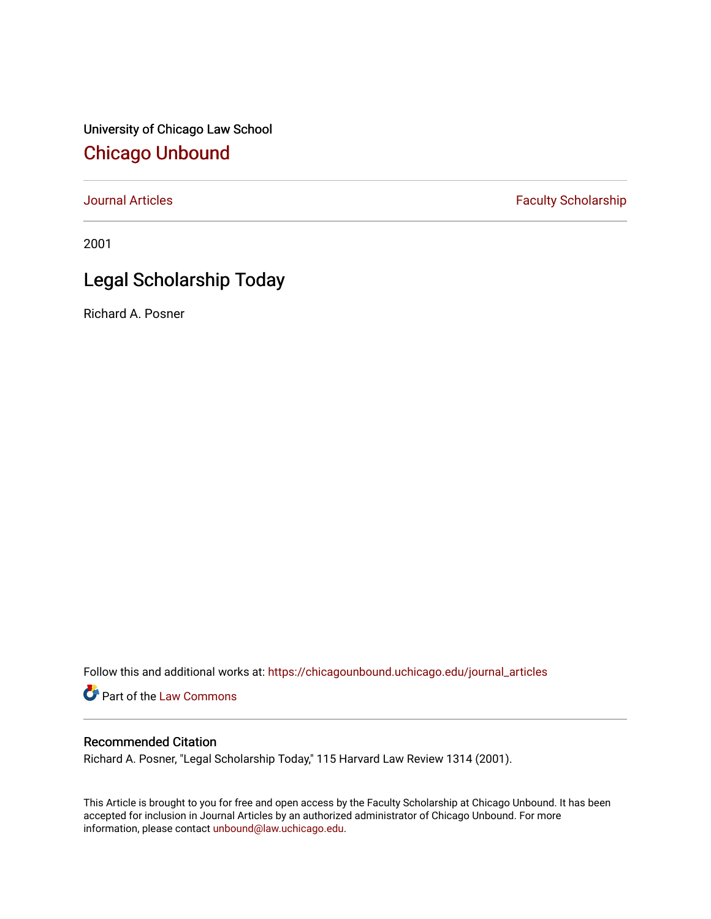University of Chicago Law School [Chicago Unbound](https://chicagounbound.uchicago.edu/)

[Journal Articles](https://chicagounbound.uchicago.edu/journal_articles) **Faculty Scholarship Faculty Scholarship** 

2001

## Legal Scholarship Today

Richard A. Posner

Follow this and additional works at: [https://chicagounbound.uchicago.edu/journal\\_articles](https://chicagounbound.uchicago.edu/journal_articles?utm_source=chicagounbound.uchicago.edu%2Fjournal_articles%2F1834&utm_medium=PDF&utm_campaign=PDFCoverPages) 

Part of the [Law Commons](http://network.bepress.com/hgg/discipline/578?utm_source=chicagounbound.uchicago.edu%2Fjournal_articles%2F1834&utm_medium=PDF&utm_campaign=PDFCoverPages)

## Recommended Citation

Richard A. Posner, "Legal Scholarship Today," 115 Harvard Law Review 1314 (2001).

This Article is brought to you for free and open access by the Faculty Scholarship at Chicago Unbound. It has been accepted for inclusion in Journal Articles by an authorized administrator of Chicago Unbound. For more information, please contact [unbound@law.uchicago.edu](mailto:unbound@law.uchicago.edu).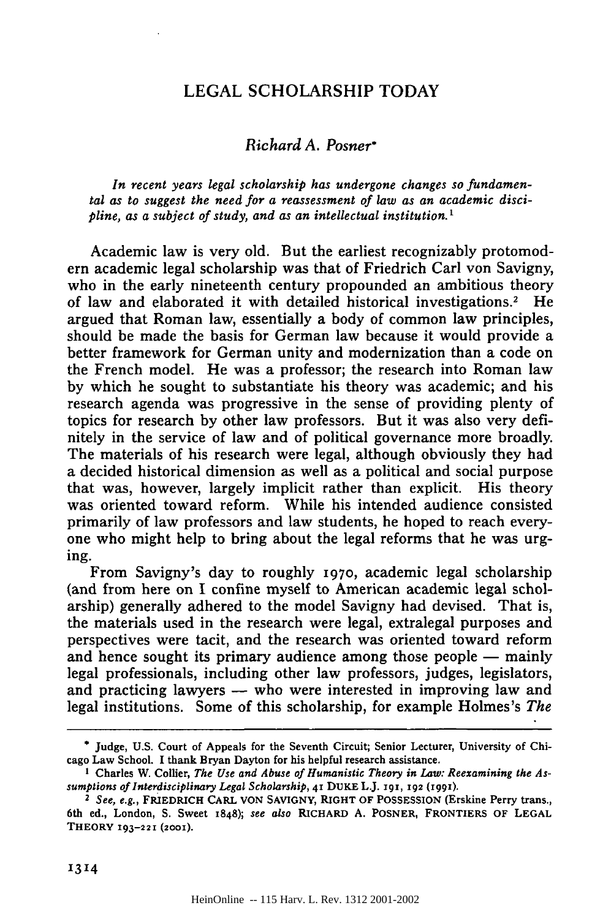## LEGAL SCHOLARSHIP TODAY

## *Richard A. Posner\**

*In recent years legal scholarship has undergone changes so fundamental as to suggest the need for a reassessment of law as an academic discipline, as a subject of study, and as an intellectual institution.'*

Academic law is very old. But the earliest recognizably protomodern academic legal scholarship was that of Friedrich Carl von Savigny, who in the early nineteenth century propounded an ambitious theory of law and elaborated it with detailed historical investigations.<sup>2</sup> He argued that Roman law, essentially a body of common law principles, should be made the basis for German law because it would provide a better framework for German unity and modernization than a code on the French model. He was a professor; the research into Roman law by which he sought to substantiate his theory was academic; and his research agenda was progressive in the sense of providing plenty of topics for research by other law professors. But it was also very definitely in the service of law and of political governance more broadly. The materials of his research were legal, although obviously they had a decided historical dimension as well as a political and social purpose that was, however, largely implicit rather than explicit. His theory was oriented toward reform. While his intended audience consisted primarily of law professors and law students, he hoped to reach everyone who might help to bring about the legal reforms that he was urging.

From Savigny's day to roughly 197o, academic legal scholarship (and from here on I confine myself to American academic legal scholarship) generally adhered to the model Savigny had devised. That is, the materials used in the research were legal, extralegal purposes and perspectives were tacit, and the research was oriented toward reform and hence sought its primary audience among those people  $-$  mainly legal professionals, including other law professors, judges, legislators, and practicing lawyers - who were interested in improving law and legal institutions. Some of this scholarship, for example Holmes's *The*

<sup>\*</sup> Judge, U.S. Court of Appeals for the Seventh Circuit; Senior Lecturer, University of Chicago Law School. I thank Bryan Dayton for his helpful research assistance.

**I** Charles W. Collier, *The Use and Abuse of Humanistic Theory in Law: Reexamining the Assumptions of Interdisciplinary Legal Scholarship,* **41** DUKE L.J. **191, 192 (1991).**

*<sup>2</sup>See, e.g.,* FRIEDRICH CARL **VON** SAVIGNY, RIGHT OF **POSSESSION** (Erskine Perry trans., 6th **ed.,** London, **S.** Sweet **1848);** *see also* RICHARD **A.** POSNER, FRONTIERS OF **LEGAL THEORY 193-221 (2001).**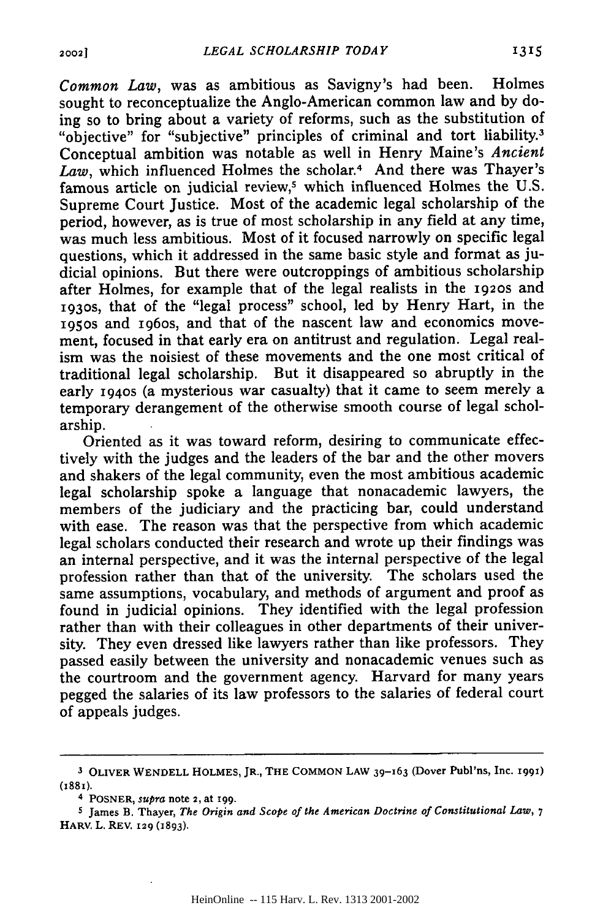*Common Law,* was as ambitious as Savigny's had been. Holmes sought to reconceptualize the Anglo-American common law and **by** doing so to bring about a variety of reforms, such as the substitution of "objective" for "subjective" principles of criminal and tort liability.3 Conceptual ambition was notable as well in Henry Maine's *Ancient Law,* which influenced Holmes the scholar.4 And there was Thayer's famous article on judicial review,<sup>5</sup> which influenced Holmes the U.S. Supreme Court Justice. Most of the academic legal scholarship of the period, however, as is true of most scholarship in any field at any time, was much less ambitious. Most of it focused narrowly on specific legal questions, which it addressed in the same basic style and format as judicial opinions. But there were outcroppings of ambitious scholarship after Holmes, for example that of the legal realists in the **192os** and **1930s,** that of the "legal process" school, led **by** Henry Hart, in the **195OS** and ig6os, and that of the nascent law and economics movement, focused in that early era on antitrust and regulation. Legal realism was the noisiest of these movements and the one most critical of traditional legal scholarship. But it disappeared so abruptly in the early **1940s** (a mysterious war casualty) that it came to seem merely a temporary derangement of the otherwise smooth course of legal scholarship.

Oriented as it was toward reform, desiring to communicate effectively with the judges and the leaders of the bar and the other movers and shakers of the legal community, even the most ambitious academic legal scholarship spoke a language that nonacademic lawyers, the members of the judiciary and the practicing bar, could understand with ease. The reason was that the perspective from which academic legal scholars conducted their research and wrote up their findings was an internal perspective, and it was the internal perspective of the legal profession rather than that of the university. The scholars used the same assumptions, vocabulary, and methods of argument and proof as found in judicial opinions. They identified with the legal profession rather than with their colleagues in other departments of their university. They even dressed like lawyers rather than like professors. They passed easily between the university and nonacademic venues such as the courtroom and the government agency. Harvard for many years pegged the salaries of its law professors to the salaries of federal court of appeals judges.

**<sup>3</sup> OLIVER WENDELL HOLMES,** JR., THE **COMMON LAW** 39-163 **(Dover Publ'ns, Inc.** I991) (I88i).

<sup>4</sup> POSNER, *supra* note **2,** at **199.**

**<sup>5</sup>** James **B. Thayer,** *The Origin and Scope of the American Doctrine of Constitutional Law, 7* HARV. **L.** REV. 129 **(x893).**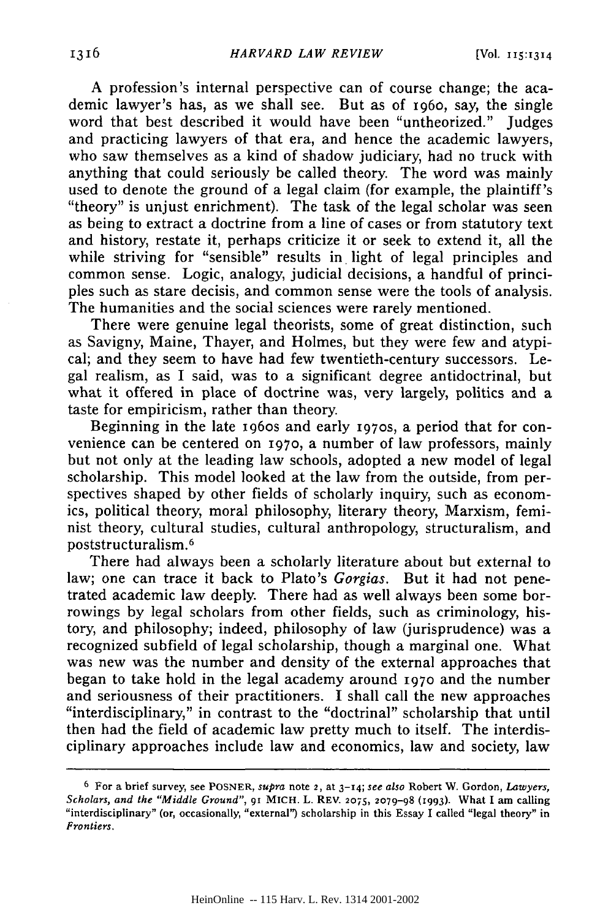A profession's internal perspective can of course change; the academic lawyer's has, as we shall see. But as of 196o, say, the single word that best described it would have been "untheorized." Judges and practicing lawyers of that era, and hence the academic lawyers, who saw themselves as a kind of shadow judiciary, had no truck with anything that could seriously be called theory. The word was mainly used to denote the ground of a legal claim (for example, the plaintiff's "theory" is unjust enrichment). The task of the legal scholar was seen as being to extract a doctrine from a line of cases or from statutory text and history, restate it, perhaps criticize it or seek to extend it, all the while striving for "sensible" results in light of legal principles and common sense. Logic, analogy, judicial decisions, a handful of principles such as stare decisis, and common sense were the tools of analysis. The humanities and the social sciences were rarely mentioned.

There were genuine legal theorists, some of great distinction, such as Savigny, Maine, Thayer, and Holmes, but they were few and atypical; and they seem to have had few twentieth-century successors. Legal realism, as I said, was to a significant degree antidoctrinal, but what it offered in place of doctrine was, very largely, politics and a taste for empiricism, rather than theory.

Beginning in the late 1960s and early 1970s, a period that for convenience can be centered on 197o, a number of law professors, mainly but not only at the leading law schools, adopted a new model of legal scholarship. This model looked at the law from the outside, from perspectives shaped by other fields of scholarly inquiry, such as economics, political theory, moral philosophy, literary theory, Marxism, feminist theory, cultural studies, cultural anthropology, structuralism, and poststructuralism. <sup>6</sup>

There had always been a scholarly literature about but external to law; one can trace it back to Plato's *Gorgias.* But it had not penetrated academic law deeply. There had as well always been some borrowings by legal scholars from other fields, such as criminology, history, and philosophy; indeed, philosophy of law (jurisprudence) was a recognized subfield of legal scholarship, though a marginal one. What was new was the number and density of the external approaches that began to take hold in the legal academy around 197o and the number and seriousness of their practitioners. I shall call the new approaches "interdisciplinary," in contrast to the "doctrinal" scholarship that until then had the field of academic law pretty much to itself. The interdisciplinary approaches include law and economics, law and society, law

**<sup>6</sup>**For a brief survey, see POSNER, *supra* note 2, at **3-14;** *see also* Robert W. Gordon, *Lawyers, Scholars, and the "Middle Ground",* 91 MICH. L. **REV. 2075, 2079-98** (1993). What **I** am calling "interdisciplinary" (or, occasionally, "external') scholarship in this Essay **I** called "legal theory" in *Frontiers.*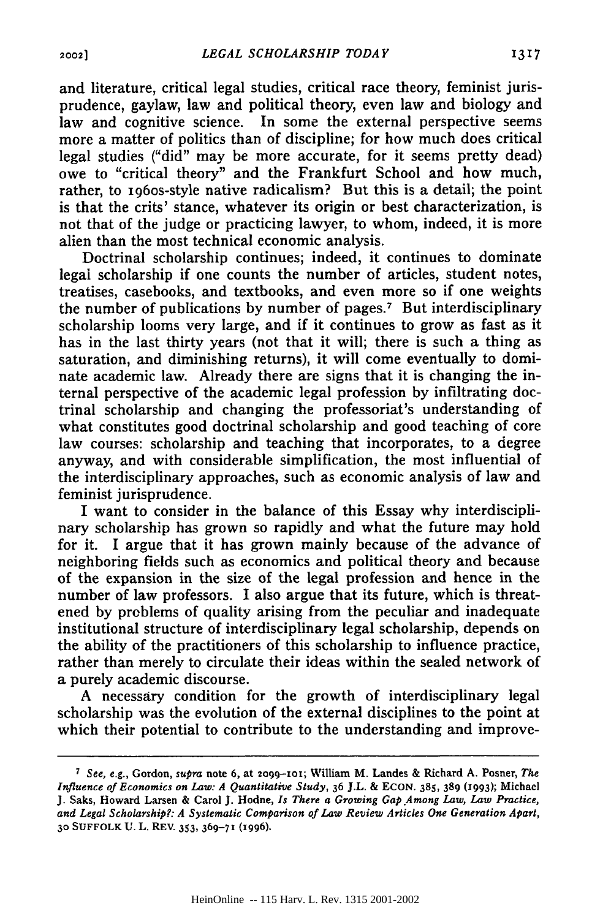and literature, critical legal studies, critical race theory, feminist jurisprudence, gaylaw, law and political theory, even law and biology and law and cognitive science. In some the external perspective seems more a matter of politics than of discipline; for how much does critical legal studies ("did" may be more accurate, for it seems pretty dead) owe to "critical theory" and the Frankfurt School and how much, rather, to 1960s-style native radicalism? But this is a detail; the point is that the crits' stance, whatever its origin or best characterization, is not that of the judge or practicing lawyer, to whom, indeed, it is more alien than the most technical economic analysis.

Doctrinal scholarship continues; indeed, it continues to dominate legal scholarship if one counts the number of articles, student notes, treatises, casebooks, and textbooks, and even more so if one weights the number of publications by number of pages.<sup>7</sup> But interdisciplinary scholarship looms very large, and if it continues to grow as fast as it has in the last thirty years (not that it will; there is such a thing as saturation, and diminishing returns), it will come eventually to dominate academic law. Already there are signs that it is changing the internal perspective of the academic legal profession by infiltrating doctrinal scholarship and changing the professoriat's understanding of what constitutes good doctrinal scholarship and good teaching of core law courses: scholarship and teaching that incorporates, to a degree anyway, and with considerable simplification, the most influential of the interdisciplinary approaches, such as economic analysis of law and feminist jurisprudence.

I want to consider in the balance of this Essay why interdisciplinary scholarship has grown so rapidly and what the future may hold for it. I argue that it has grown mainly because of the advance of neighboring fields such as economics and political theory and because of the expansion in the size of the legal profession and hence in the number of law professors. I also argue that its future, which is threatened by problems of quality arising from the peculiar and inadequate institutional structure of interdisciplinary legal scholarship, depends on the ability of the practitioners of this scholarship to influence practice, rather than merely to circulate their ideas within the sealed network of a purely academic discourse.

A necessary condition for the growth of interdisciplinary legal scholarship was the evolution of the external disciplines to the point at which their potential to contribute to the understanding and improve-

*<sup>7</sup> See,* e.g., Gordon, *supra* note **6,** at **2o99-1-o;** William M. Landes & Richard **A.** Posner, *The Influence of Economics on Law: A Quantitative Study,* **36** J.L. **& ECON. 385, 389 (1993);** Michael **J.** Saks, Howard Larsen & Carol **J.** Hodne, *Is There a Growing Gap.Among Law, Law Practice, and Legal Scholarship?: A Systematic Comparison of Law Review Articles One Generation Apart,* **30 SUFFOLK U. L. REV. 353, 369-71 (x996).**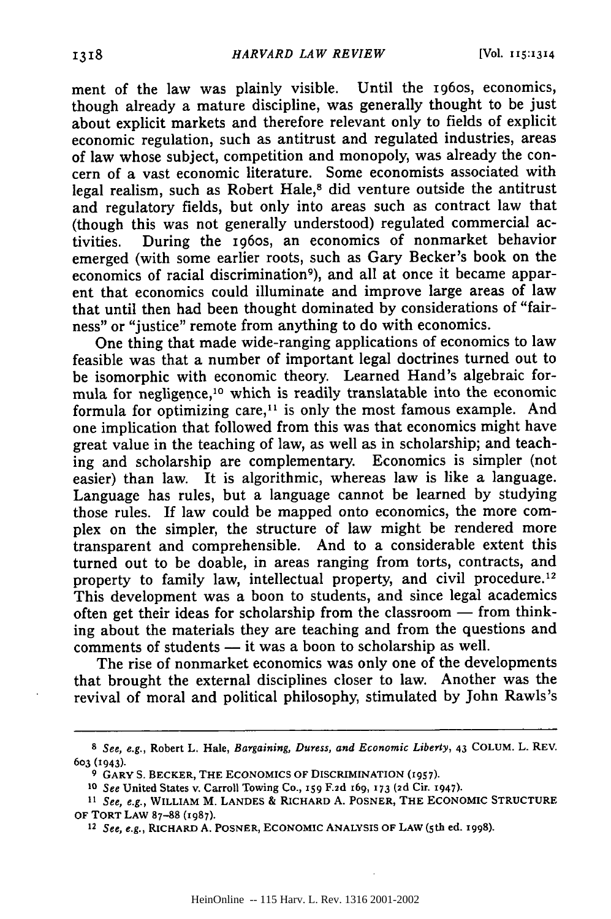ment of the law was plainly visible. Until the i96os, economics, though already a mature discipline, was generally thought to be just about explicit markets and therefore relevant only to fields of explicit economic regulation, such as antitrust and regulated industries, areas of law whose subject, competition and monopoly, was already the concern of a vast economic literature. Some economists associated with legal realism, such as Robert Hale,<sup>8</sup> did venture outside the antitrust and regulatory fields, but only into areas such as contract law that (though this was not generally understood) regulated commercial activities. During the i96os, an economics of nonmarket behavior emerged (with some earlier roots, such as Gary Becker's book on the economics of racial discrimination<sup>9</sup>), and all at once it became apparent that economics could illuminate and improve large areas of law that until then had been thought dominated **by** considerations of "fairness" or "justice" remote from anything to do with economics.

One thing that made wide-ranging applications of economics to law feasible was that a number of important legal doctrines turned out to be isomorphic with economic theory. Learned Hand's algebraic formula for negligence, 10 which is readily translatable into the economic formula for optimizing care,<sup> $11$ </sup> is only the most famous example. And one implication that followed from this was that economics might have great value in the teaching of law, as well as in scholarship; and teaching and scholarship are complementary. Economics is simpler (not easier) than law. It is algorithmic, whereas law is like a language. Language has rules, but a language cannot be learned **by** studying those rules. If law could be mapped onto economics, the more complex on the simpler, the structure of law might be rendered more transparent and comprehensible. And to a considerable extent this turned out to be doable, in areas ranging from torts, contracts, and property to family law, intellectual property, and civil procedure.<sup>12</sup> This development was a boon to students, and since legal academics often get their ideas for scholarship from the classroom  $-$  from thinking about the materials they are teaching and from the questions and  $comments$  of students  $-$  it was a boon to scholarship as well.

The rise of nonmarket economics was only one of the developments that brought the external disciplines closer to law. Another was the revival of moral and political philosophy, stimulated **by** John Rawls's

*<sup>8</sup>* See, e.g., Robert L. Hale, *Bargaining, Duress, and Economic Liberty,* **43 COLUM. L. REV. 603 (1943).**

**<sup>9</sup> GARY S. BECKER, THE ECONOMICS OF DISCRIMINATION (1957).**

*<sup>10</sup>See* United States v. Carroll Towing Co., **159 F.2d 169, 173 (2d** Cir. 1947).

*<sup>11</sup> See, e.g.,* **WILLIAM M. LANDES** & **RICHARD A. POSNER, THE ECONOMIC STRUCTURE OF TORT LAW 87-88 (1987).**

**<sup>12</sup>** *See, e.g.,* **RICHARD A. POSNER, ECONOMIC ANALYSIS OF LAW (5th** ed. **1998).**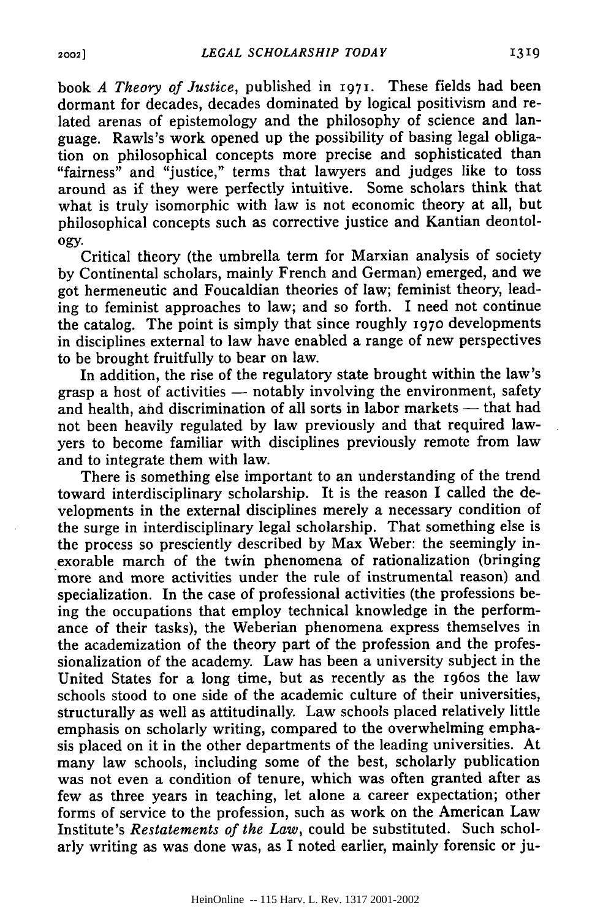book *A Theory of Justice,* published in **1971.** These fields had been dormant for decades, decades dominated **by** logical positivism and related arenas of epistemology and the philosophy of science and language. Rawls's work opened up the possibility of basing legal obligation on philosophical concepts more precise and sophisticated than "fairness" and "justice," terms that lawyers and judges like to toss around as if they were perfectly intuitive. Some scholars think that what is truly isomorphic with law is not economic theory at all, but philosophical concepts such as corrective justice and Kantian deontol**ogy.**

Critical theory (the umbrella term for Marxian analysis of society **by** Continental scholars, mainly French and German) emerged, and we got hermeneutic and Foucaldian theories of law; feminist theory, leading to feminist approaches to law; and so forth. I need not continue the catalog. The point is simply that since roughly **197o** developments in disciplines external to law have enabled a range of new perspectives to be brought fruitfully to bear on law.

In addition, the rise of the regulatory state brought within the law's grasp a host of activities  $-$  notably involving the environment, safety and health, and discrimination of all sorts in labor markets **-** that had not been heavily regulated **by** law previously and that required lawyers to become familiar with disciplines previously remote from law and to integrate them with law.

There is something else important to an understanding of the trend toward interdisciplinary scholarship. It is the reason **I** called the developments in the external disciplines merely a necessary condition of the surge in interdisciplinary legal scholarship. That something else is the process so presciently described **by** Max Weber: the seemingly inexorable march of the twin phenomena of rationalization (bringing more and more activities under the rule of instrumental reason) and specialization. In the case of professional activities (the professions being the occupations that employ technical knowledge in the performance of their tasks), the Weberian phenomena express themselves in the academization of the theory part of the profession and the professionalization of the academy. Law has been a university subject in the United States for a long time, but as recently as the I96os the law schools stood to one side of the academic culture of their universities, structurally as well as attitudinally. Law schools placed relatively little emphasis on scholarly writing, compared to the overwhelming emphasis placed on it in the other departments of the leading universities. At many law schools, including some of the best, scholarly publication was not even a condition of tenure, which was often granted after as few as three years in teaching, let alone a career expectation; other forms of service to the profession, such as work on the American Law Institute's *Restatements of the Law,* could be substituted. Such scholarly writing as was done was, as I noted earlier, mainly forensic or ju-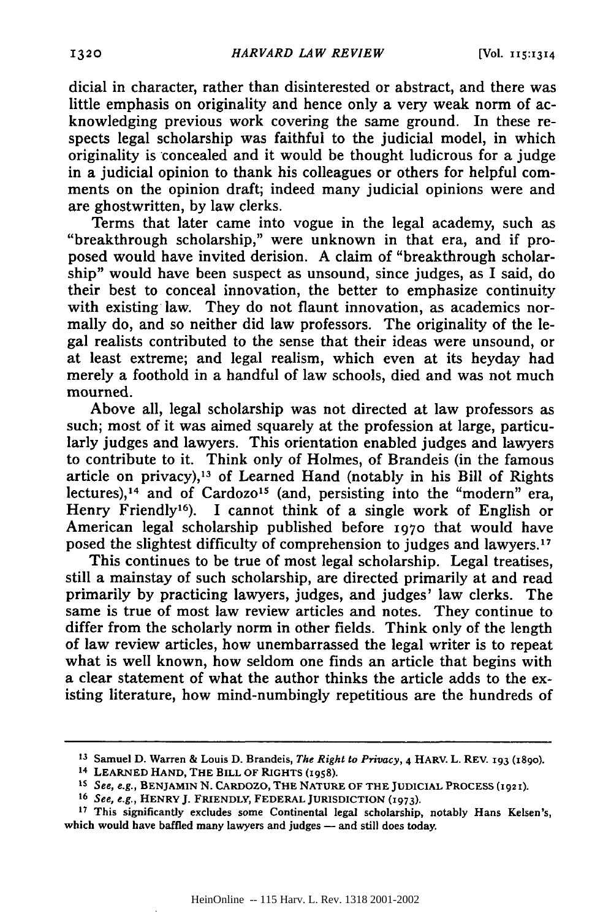dicial in character, rather than disinterested or abstract, and there was little emphasis on originality and hence only a very weak norm of acknowledging previous work covering the same ground. In these respects legal scholarship was faithful to the judicial model, in which originality is concealed and it would be thought ludicrous for a judge in a judicial opinion to thank his colleagues or others for helpful comments on the opinion draft; indeed many judicial opinions were and are ghostwritten, by law clerks.

Terms that later came into vogue in the legal academy, such as "breakthrough scholarship," were unknown in that era, and if proposed would have invited derision. A claim of "breakthrough scholarship" would have been suspect as unsound, since judges, as I said, do their best to conceal innovation, the better to emphasize continuity with existing law. They do not flaunt innovation, as academics normally do, and so neither did law professors. The originality of the legal realists contributed to the sense that their ideas were unsound, or at least extreme; and legal realism, which even at its heyday had merely a foothold in a handful of law schools, died and was not much mourned.

Above all, legal scholarship was not directed at law professors as such; most of it was aimed squarely at the profession at large, particularly judges and lawyers. This orientation enabled judges and lawyers to contribute to it. Think only of Holmes, of Brandeis (in the famous article on privacy),<sup>13</sup> of Learned Hand (notably in his Bill of Rights lectures),<sup>14</sup> and of Cardozo<sup>15</sup> (and, persisting into the "modern" era, Henry Friendly<sup>16</sup>). I cannot think of a single work of English or American legal scholarship published before 1970 that would have posed the slightest difficulty of comprehension to judges and lawyers.<sup>17</sup>

This continues to be true of most legal scholarship. Legal treatises, still a mainstay of such scholarship, are directed primarily at and read primarily by practicing lawyers, judges, and judges' law clerks. The same is true of most law review articles and notes. They continue to differ from the scholarly norm in other fields. Think only of the length of law review articles, how unembarrassed the legal writer is to repeat what is well known, how seldom one finds an article that begins with a clear statement of what the author thinks the article adds to the existing literature, how mind-numbingly repetitious are the hundreds of

**<sup>13</sup>**Samuel **D.** Warren & Louis D. Brandeis, *The Right to Privacy,* 4 HARV. L. REV. **193** (18go).

<sup>14</sup>**LEARNED HAND,** THE **BILL** OF RIGHTS **(1958).**

**IS** *See,* e.g., **BENJAMIN N. CARDOZO, THE NATURE OF THE JUDICIAL PROCESS (1921 ).**

**<sup>16</sup>**See, e.g., HENRYJ. FRIENDLY, FEDERAL JURISDICTION **(1973).**

**<sup>17</sup>**This significantly excludes some Continental legal scholarship, notably Hans Kelsen's, which would have baffled many lawyers and judges - and still does today.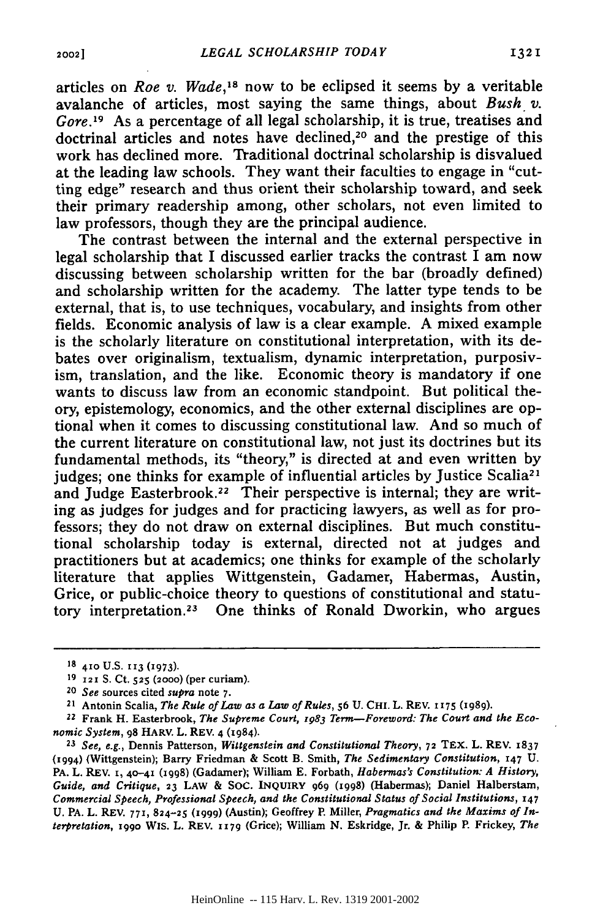articles on *Roe v. Wade*,<sup>18</sup> now to be eclipsed it seems by a veritable avalanche of articles, most saying the same things, about *Bush v. Gore.'<sup>9</sup>*As a percentage of all legal scholarship, it is true, treatises and doctrinal articles and notes have declined,<sup>20</sup> and the prestige of this work has declined more. Traditional doctrinal scholarship is disvalued at the leading law schools. They want their faculties to engage in "cutting edge" research and thus orient their scholarship toward, and seek their primary readership among, other scholars, not even limited to law professors, though they are the principal audience.

The contrast between the internal and the external perspective in legal scholarship that I discussed earlier tracks the contrast I am now discussing between scholarship written for the bar (broadly defined) and scholarship written for the academy. The latter type tends to be external, that is, to use techniques, vocabulary, and insights from other fields. Economic analysis of law is a clear example. A mixed example is the scholarly literature on constitutional interpretation, with its debates over originalism, textualism, dynamic interpretation, purposivism, translation, and the like. Economic theory is mandatory if one wants to discuss law from an economic standpoint. But political theory, epistemology, economics, and the other external disciplines are optional when it comes to discussing constitutional law. And so much of the current literature on constitutional law, not just its doctrines but its fundamental methods, its "theory," is directed at and even written by judges; one thinks for example of influential articles by Justice Scalia<sup>21</sup> and Judge Easterbrook.<sup>22</sup> Their perspective is internal; they are writing as judges for judges and for practicing lawyers, as well as for professors; they do not draw on external disciplines. But much constitutional scholarship today is external, directed not at judges and practitioners but at academics; one thinks for example of the scholarly literature that applies Wittgenstein, Gadamer, Habermas, Austin, Grice, or public-choice theory to questions of constitutional and statutory interpretation. 23 One thinks of Ronald Dworkin, who argues

<sup>18 410</sup> U.S. 113 (1973).

**<sup>19 121</sup>** S. Ct. **525 (2000)** (per curiam).

*<sup>20</sup>See* sources cited *supra* note **7.**

**<sup>21</sup>**Antonin Scalia, *The Rule of Law as a Law of Rules,* **56 U. CH.** L. REV. **1175 (i989).**

<sup>22</sup> Frank H. Easterbrook, *The Supreme Court, 1983 Term-Foreword: The Court and the Economic System,* **98** HARV. L. REV. 4 **(1984).**

*<sup>23</sup>See, e.g.,* Dennis Patterson, *Wittgenstein and Constitutional Theory,* **72 TEX.** L. REV. 1837 (1994) (Wittgenstein); Barry Friedman & Scott B. Smith, *The Sedimentary Constitution, 147* **U.** PA. L. REV. **1, 40-41** (1998) (Gadamer); William **E.** Forbath, *Habermas's Constitution: A History, Guide, and Critique,* **23** LAW & **SOC. INQUIRY** 969 (1998) (Habermas); Daniel Halberstamn, Commercial Speech, Professional Speech, and the Constitutional Status of Social Institutions, *147* U. PA. L. REV. 771, 824-25 (1999) (Austin); Geoffrey P. Miller, Pragmatics and the Maxims of Interpretation, **199o** Wis. L. REV. **1179** (Grice); William **N.** Eskridge, Jr. **&** Philip **P.** Frickey, *The*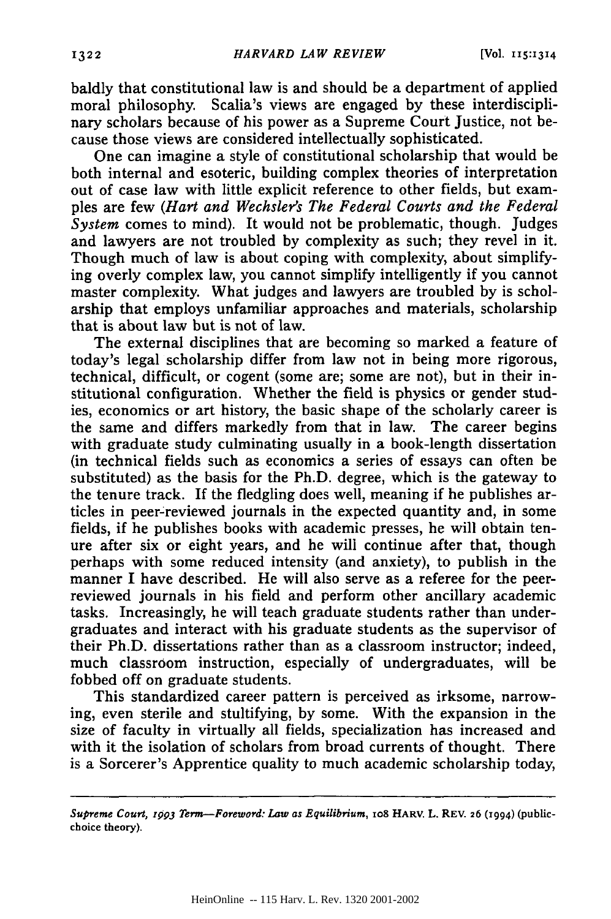baldly that constitutional law is and should be a department of applied moral philosophy. Scalia's views are engaged by these interdisciplinary scholars because of his power as a Supreme Court Justice, not because those views are considered intellectually sophisticated.

One can imagine a style of constitutional scholarship that would be both internal and esoteric, building complex theories of interpretation out of case law with little explicit reference to other fields, but examples are few *(Hart and Wechsler's The Federal Courts and the Federal System* comes to mind). It would not be problematic, though. Judges and lawyers are not troubled by complexity as such; they revel in it. Though much of law is about coping with complexity, about simplifying overly complex law, you cannot simplify intelligently if you cannot master complexity. What judges and lawyers are troubled by is scholarship that employs unfamiliar approaches and materials, scholarship that is about law but is not of law.

The external disciplines that are becoming so marked a feature of today's legal scholarship differ from law not in being more rigorous, technical, difficult, or cogent (some are; some are not), but in their institutional configuration. Whether the field is physics or gender studies, economics or art history, the basic shape of the scholarly career is the same and differs markedly from that in law. The career begins with graduate study culminating usually in a book-length dissertation (in technical fields such as economics a series of essays can often be substituted) as the basis for the Ph.D. degree, which is the gateway to the tenure track. If the fledgling does well, meaning if he publishes articles in peer-:reviewed journals in the expected quantity and, in some fields, if he publishes books with academic presses, he will obtain tenure after six or eight years, and he will continue after that, though perhaps with some reduced intensity (and anxiety), to publish in the manner I have described. He will also serve as a referee for the peerreviewed journals in his field and perform other ancillary academic tasks. Increasingly, he will teach graduate students rather than undergraduates and interact with his graduate students as the supervisor of their Ph.D. dissertations rather than as a classroom instructor; indeed, much classroom instruction, especially of undergraduates, will be fobbed off on graduate students.

This standardized career pattern is perceived as irksome, narrowing, even sterile and stultifying, by some. With the expansion in the size of faculty in virtually all fields, specialization has increased and with it the isolation of scholars from broad currents of thought. There is a Sorcerer's Apprentice quality to much academic scholarship today,

*Supreme Court, r993 Term-Foreword: Law as Equilibrium,* **io8 HARV. L.** REV. **26 (1994) (publicchoice theory).**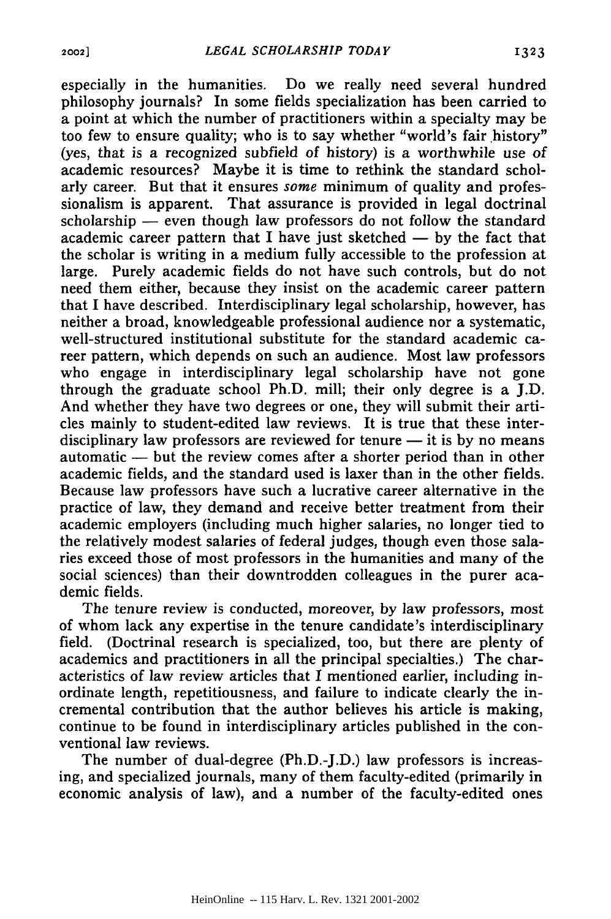especially in the humanities. Do we really need several hundred philosophy journals? In some fields specialization has been carried to a point at which the number of practitioners within a specialty may be too few to ensure quality; who is to say whether "world's fair history" (yes, that is a recognized subfield of history) is a worthwhile use of academic resources? Maybe it is time to rethink the standard scholarly career. But that it ensures *some* minimum of quality and professionalism is apparent. That assurance is provided in legal doctrinal scholarship - even though law professors do not follow the standard academic career pattern that I have just sketched  $-$  by the fact that the scholar is writing in a medium fully accessible to the profession at large. Purely academic fields do not have such controls, but do not need them either, because they insist on the academic career pattern that I have described. Interdisciplinary legal scholarship, however, has neither a broad, knowledgeable professional audience nor a systematic, well-structured institutional substitute for the standard academic career pattern, which depends on such an audience. Most law professors who engage in interdisciplinary legal scholarship have not gone through the graduate school Ph.D. mill; their only degree is a J.D. And whether they have two degrees or one, they will submit their articles mainly to student-edited law reviews. It is true that these interdisciplinary law professors are reviewed for tenure  $-$  it is by no means automatic — but the review comes after a shorter period than in other academic fields, and the standard used is laxer than in the other fields. Because law professors have such a lucrative career alternative in the practice of law, they demand and receive better treatment from their academic employers (including much higher salaries, no longer tied to the relatively modest salaries of federal judges, though even those salaries exceed those of most professors in the humanities and many of the social sciences) than their downtrodden colleagues in the purer academic fields.

The tenure review is conducted, moreover, by law professors, most of whom lack any expertise in the tenure candidate's interdisciplinary field. (Doctrinal research is specialized, too, but there are plenty of academics and practitioners in all the principal specialties.) The characteristics of law review articles that I mentioned earlier, including inordinate length, repetitiousness, and failure to indicate clearly the incremental contribution that the author believes his article is making, continue to be found in interdisciplinary articles published in the conventional law reviews.

The number of dual-degree (Ph.D.-J.D.) law professors is increasing, and specialized journals, many of them faculty-edited (primarily in economic analysis of law), and a number of the faculty-edited ones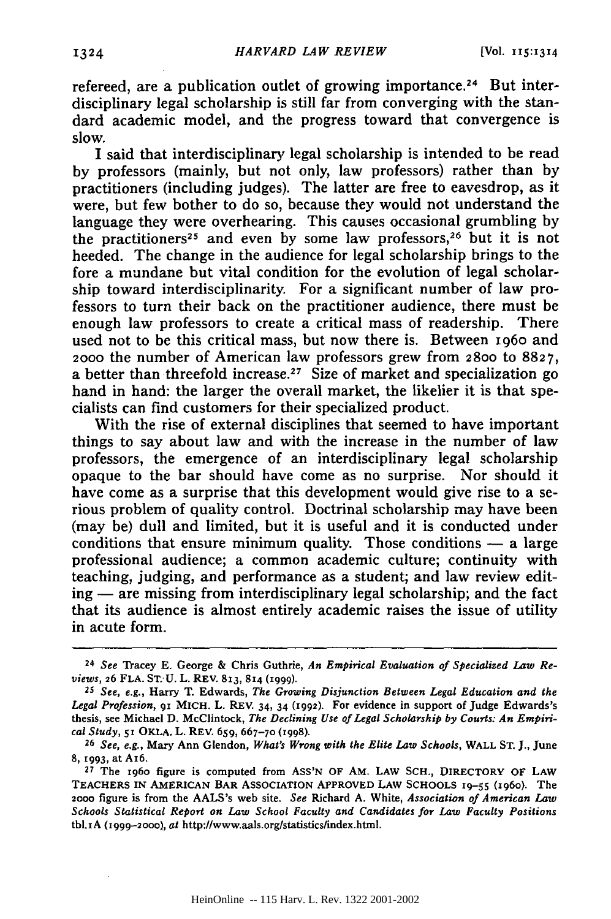refereed, are a publication outlet of growing importance.<sup>24</sup> But interdisciplinary legal scholarship is still far from converging with the standard academic model, and the progress toward that convergence is slow.

I said that interdisciplinary legal scholarship is intended to be read **by** professors (mainly, but not only, law professors) rather than **by** practitioners (including judges). The latter are free to eavesdrop, as it were, but few bother to do so, because they would not understand the language they were overhearing. This causes occasional grumbling **by** the practitioners<sup>25</sup> and even by some law professors,<sup>26</sup> but it is not heeded. The change in the audience for legal scholarship brings to the fore a mundane but vital condition for the evolution of legal scholarship toward interdisciplinarity. For a significant number of law professors to turn their back on the practitioner audience, there must be enough law professors to create a critical mass of readership. There used not to be this critical mass, but now there is. Between 196o and 2000 the number of American law professors grew from 28oo to **8827,** a better than threefold increase.<sup>27</sup> Size of market and specialization go hand in hand: the larger the overall market, the likelier it is that specialists can find customers for their specialized product.

With the rise of external disciplines that seemed to have important things to say about law and with the increase in the number of law professors, the emergence of an interdisciplinary legal scholarship opaque to the bar should have come as no surprise. Nor should it have come as a surprise that this development would give rise to a serious problem of quality control. Doctrinal scholarship may have been (may be) dull and limited, but it is useful and it is conducted under conditions that ensure minimum quality. Those conditions **-** a large professional audience; a common academic culture; continuity with teaching, judging, and performance as a student; and law review edit $ing$   $-$  are missing from interdisciplinary legal scholarship; and the fact that its audience is almost entirely academic raises the issue of utility in acute form.

**<sup>24</sup>** *See* Tracey **E.** George & Chris Guthrie, *An Empirical Evaluation of Specialized Law Reviews,* 26 **FLA. ST. U.** L. REV. **813,** 814 **(1999).**

**<sup>25</sup>***See, e.g.,* Harry T. Edwards, *The Growing Disjunction Between Legal Education and the Legal Profession, 91* MICH. L. REV. 34, 34 (I992). For evidence in support of Judge Edwards's thesis, see Michael **D.** McClintock, *The Declining Use of Legal Scholarship by Courts: An Empirical Study,* **51** OKLA. L. REV. 659, 667-70 **(1998).**

**<sup>26</sup>***See, e.g.,* Mary Ann Glendon, *What's Wrong with the Elite Law Schools,* WALL **ST. J.,** June **8, i993,** at A16.

**<sup>27</sup>**The 196o figure is computed from **ASS'N** OF AM. LAW **SCH.,** DIRECTORY OF LAW **TEACHERS** IN AMERICAN BAR **ASSOCIATION** APPROVED LAW **SCHOOLS 19-55** (ig6o). The **2000** figure is from the AALS's web site. *See* Richard **A.** White, *Association of American Law Schools Statistical Report on Law School Faculty and Candidates for Law Faculty Positions* tbl.1A (1999-2000), at http://www.aals.org/statistics/index.html.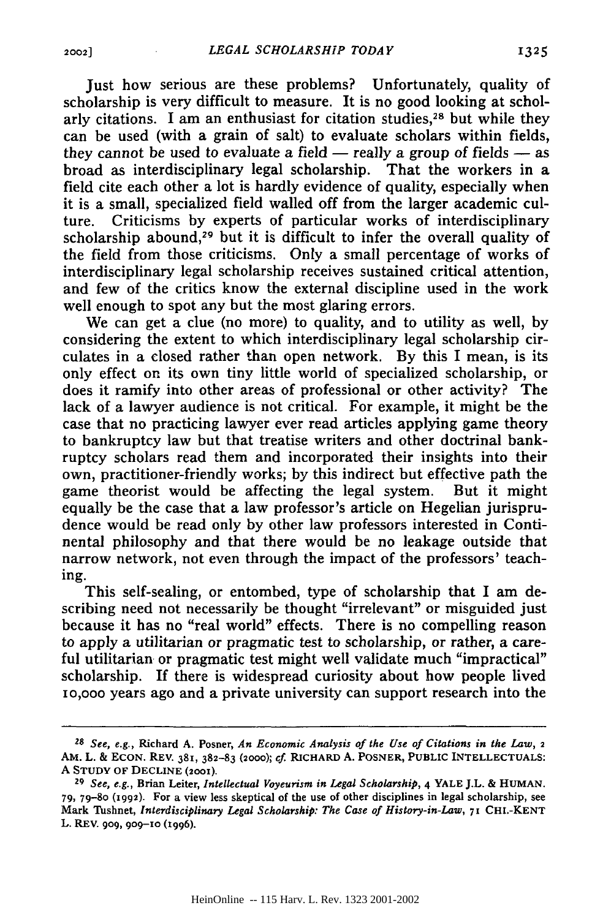Just how serious are these problems? Unfortunately, quality of scholarship is very difficult to measure. It is no good looking at scholarly citations. I am an enthusiast for citation studies, $28$  but while they can be used (with a grain of salt) to evaluate scholars within fields, they cannot be used to evaluate a field  $-$  really a group of fields  $-$  as broad as interdisciplinary legal scholarship. That the workers in a field cite each other a lot is hardly evidence of quality, especially when it is a small, specialized field walled off from the larger academic culture. Criticisms **by** experts of particular works of interdisciplinary scholarship abound,<sup>29</sup> but it is difficult to infer the overall quality of the field from those criticisms. Only a small percentage of works of interdisciplinary legal scholarship receives sustained critical attention, and few of the critics know the external discipline used in the work well enough to spot any but the most glaring errors.

We can get a clue (no more) to quality, and to utility as well, **by** considering the extent to which interdisciplinary legal scholarship circulates in a closed rather than open network. **By** this I mean, is its only effect on its own tiny little world of specialized scholarship, or does it ramify into other areas of professional or other activity? The lack of a lawyer audience is not critical. For example, it might be the case that no practicing lawyer ever read articles applying game theory to bankruptcy law but that treatise writers and other doctrinal bankruptcy scholars read them and incorporated their insights into their own, practitioner-friendly works; by this indirect but effective path the game theorist would be affecting the legal system. But it might equally be the case that a law professor's article on Hegelian jurisprudence would be read only by other law professors interested in Continental philosophy and that there would be no leakage outside that narrow network, not even through the impact of the professors' teaching.

This self-sealing, or entombed, type of scholarship that I am describing need not necessarily be thought "irrelevant" or misguided just because it has no "real world" effects. There is no compelling reason to apply a utilitarian or pragmatic test to scholarship, or rather, a careful utilitarian or pragmatic test might well validate much "impractical" scholarship. If there is widespread curiosity about how people lived io,ooo years ago and a private university can support research into the

*<sup>28</sup>See, e.g.,* Richard **A.** Posner, *An Economic Analysis of the Use of Citations in the Law,* <sup>2</sup> AM. L. **&** EcON. REV. 381, **382-83 (2000);** *cf* RICHARD **A.** POSNER, **PUBLIC INTELLECTUALS: A** STUDY OF DECLINE **(2001).**

**<sup>29</sup>***See, e.g.,* Brian Leiter, *Intellectual Voyeurism in Legal Scholarship,* 4 YALE J.L. & **HUMAN.** *79,* **79-80 (1992).** For a view less skeptical of the use of other disciplines in legal scholarship, see Mark Tushnet, *Interdisciplinary Legal Scholarship: The Case of History-in-Law,* **71 CHI-KENT** L. REV. **909, 9o9-io** (1996).